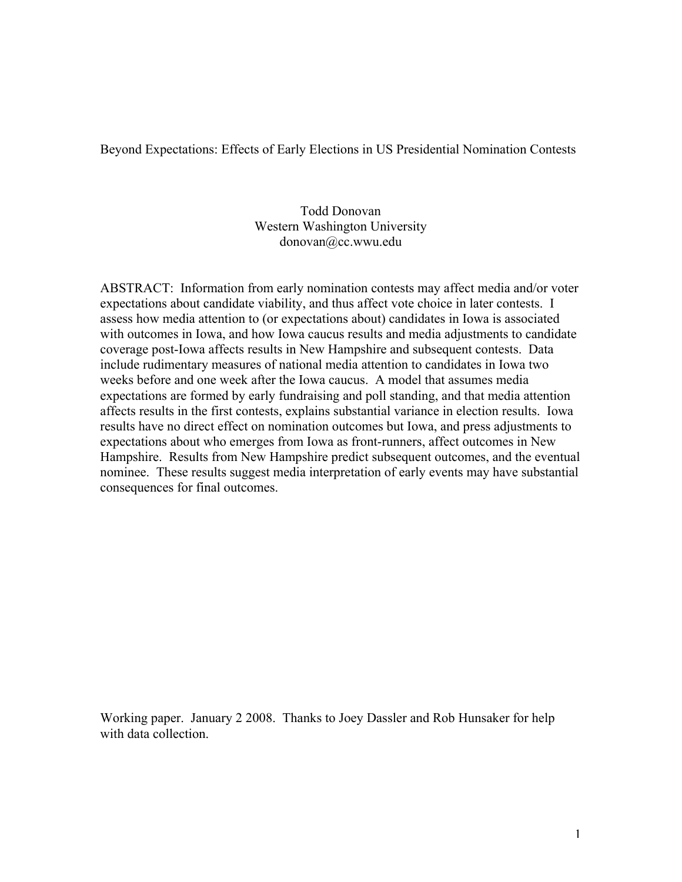Beyond Expectations: Effects of Early Elections in US Presidential Nomination Contests

# Todd Donovan Western Washington University donovan@cc.wwu.edu

ABSTRACT: Information from early nomination contests may affect media and/or voter expectations about candidate viability, and thus affect vote choice in later contests. I assess how media attention to (or expectations about) candidates in Iowa is associated with outcomes in Iowa, and how Iowa caucus results and media adjustments to candidate coverage post-Iowa affects results in New Hampshire and subsequent contests. Data include rudimentary measures of national media attention to candidates in Iowa two weeks before and one week after the Iowa caucus. A model that assumes media expectations are formed by early fundraising and poll standing, and that media attention affects results in the first contests, explains substantial variance in election results. Iowa results have no direct effect on nomination outcomes but Iowa, and press adjustments to expectations about who emerges from Iowa as front-runners, affect outcomes in New Hampshire. Results from New Hampshire predict subsequent outcomes, and the eventual nominee. These results suggest media interpretation of early events may have substantial consequences for final outcomes.

Working paper. January 2 2008. Thanks to Joey Dassler and Rob Hunsaker for help with data collection.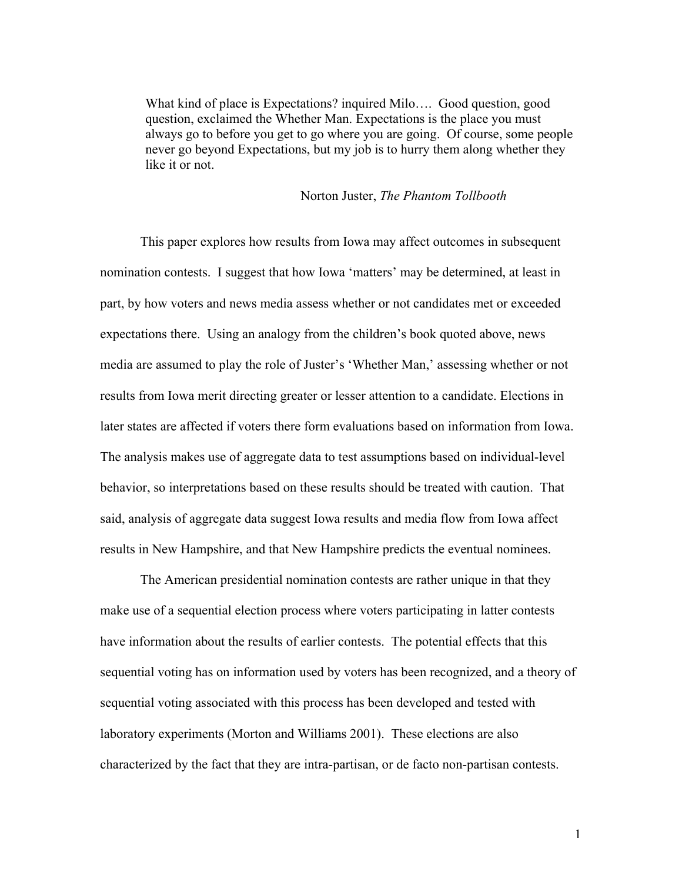What kind of place is Expectations? inquired Milo…. Good question, good question, exclaimed the Whether Man. Expectations is the place you must always go to before you get to go where you are going. Of course, some people never go beyond Expectations, but my job is to hurry them along whether they like it or not.

### Norton Juster, *The Phantom Tollbooth*

This paper explores how results from Iowa may affect outcomes in subsequent nomination contests. I suggest that how Iowa 'matters' may be determined, at least in part, by how voters and news media assess whether or not candidates met or exceeded expectations there. Using an analogy from the children's book quoted above, news media are assumed to play the role of Juster's 'Whether Man,' assessing whether or not results from Iowa merit directing greater or lesser attention to a candidate. Elections in later states are affected if voters there form evaluations based on information from Iowa. The analysis makes use of aggregate data to test assumptions based on individual-level behavior, so interpretations based on these results should be treated with caution. That said, analysis of aggregate data suggest Iowa results and media flow from Iowa affect results in New Hampshire, and that New Hampshire predicts the eventual nominees.

The American presidential nomination contests are rather unique in that they make use of a sequential election process where voters participating in latter contests have information about the results of earlier contests. The potential effects that this sequential voting has on information used by voters has been recognized, and a theory of sequential voting associated with this process has been developed and tested with laboratory experiments (Morton and Williams 2001). These elections are also characterized by the fact that they are intra-partisan, or de facto non-partisan contests.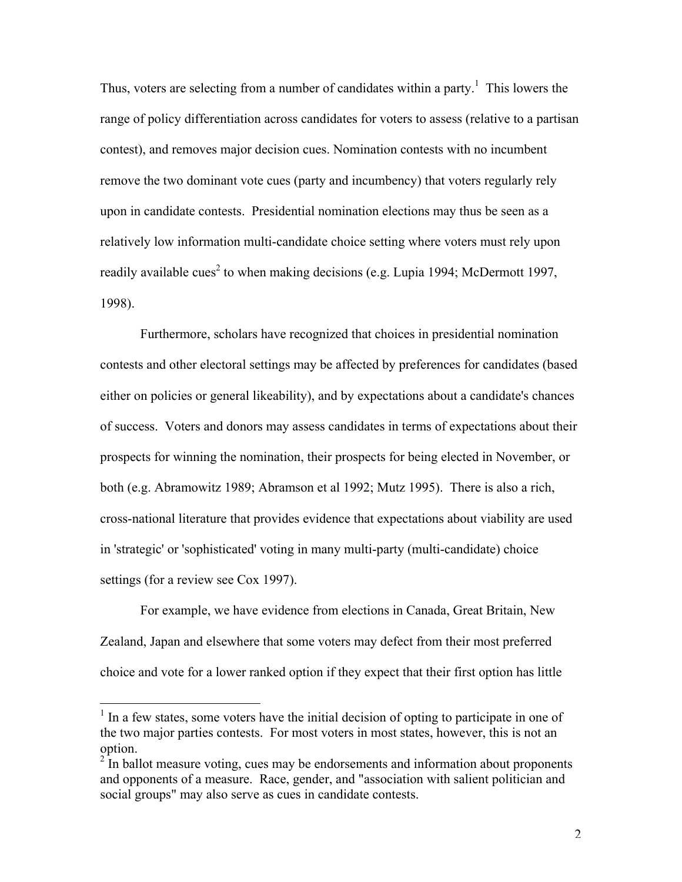Thus, voters are selecting from a number of candidates within a party.<sup>1</sup> This lowers the range of policy differentiation across candidates for voters to assess (relative to a partisan contest), and removes major decision cues. Nomination contests with no incumbent remove the two dominant vote cues (party and incumbency) that voters regularly rely upon in candidate contests. Presidential nomination elections may thus be seen as a relatively low information multi-candidate choice setting where voters must rely upon readily available cues<sup>2</sup> to when making decisions (e.g. Lupia 1994; McDermott 1997, 1998).

Furthermore, scholars have recognized that choices in presidential nomination contests and other electoral settings may be affected by preferences for candidates (based either on policies or general likeability), and by expectations about a candidate's chances of success. Voters and donors may assess candidates in terms of expectations about their prospects for winning the nomination, their prospects for being elected in November, or both (e.g. Abramowitz 1989; Abramson et al 1992; Mutz 1995). There is also a rich, cross-national literature that provides evidence that expectations about viability are used in 'strategic' or 'sophisticated' voting in many multi-party (multi-candidate) choice settings (for a review see Cox 1997).

For example, we have evidence from elections in Canada, Great Britain, New Zealand, Japan and elsewhere that some voters may defect from their most preferred choice and vote for a lower ranked option if they expect that their first option has little

<sup>&</sup>lt;sup>1</sup> In a few states, some voters have the initial decision of opting to participate in one of the two major parties contests. For most voters in most states, however, this is not an option.

 $2<sup>2</sup>$  In ballot measure voting, cues may be endorsements and information about proponents and opponents of a measure. Race, gender, and "association with salient politician and social groups" may also serve as cues in candidate contests.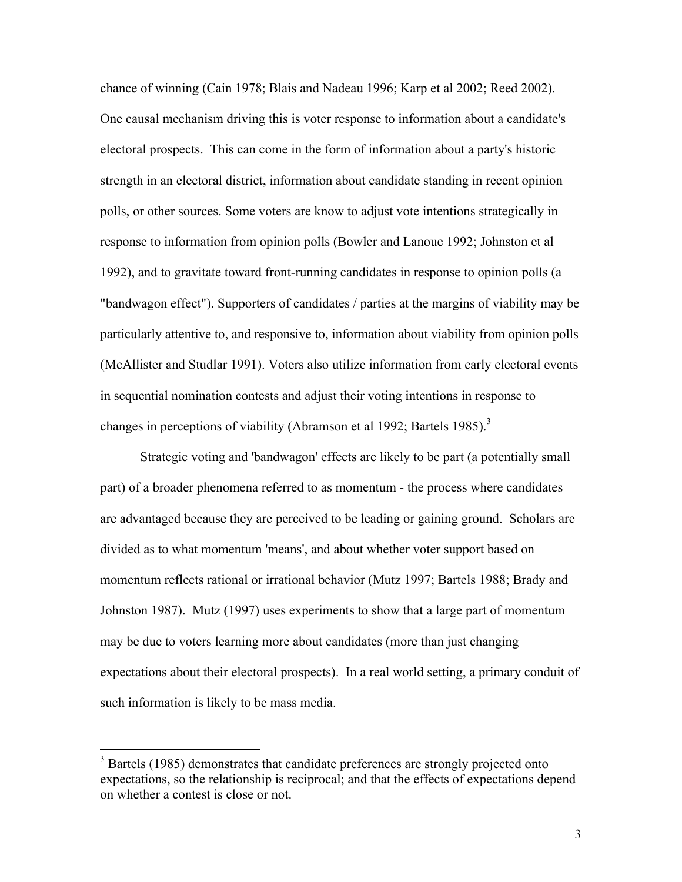chance of winning (Cain 1978; Blais and Nadeau 1996; Karp et al 2002; Reed 2002). One causal mechanism driving this is voter response to information about a candidate's electoral prospects. This can come in the form of information about a party's historic strength in an electoral district, information about candidate standing in recent opinion polls, or other sources. Some voters are know to adjust vote intentions strategically in response to information from opinion polls (Bowler and Lanoue 1992; Johnston et al 1992), and to gravitate toward front-running candidates in response to opinion polls (a "bandwagon effect"). Supporters of candidates / parties at the margins of viability may be particularly attentive to, and responsive to, information about viability from opinion polls (McAllister and Studlar 1991). Voters also utilize information from early electoral events in sequential nomination contests and adjust their voting intentions in response to changes in perceptions of viability (Abramson et al 1992; Bartels 1985).<sup>3</sup>

Strategic voting and 'bandwagon' effects are likely to be part (a potentially small part) of a broader phenomena referred to as momentum - the process where candidates are advantaged because they are perceived to be leading or gaining ground. Scholars are divided as to what momentum 'means', and about whether voter support based on momentum reflects rational or irrational behavior (Mutz 1997; Bartels 1988; Brady and Johnston 1987). Mutz (1997) uses experiments to show that a large part of momentum may be due to voters learning more about candidates (more than just changing expectations about their electoral prospects). In a real world setting, a primary conduit of such information is likely to be mass media.

 $\overline{a}$ 

<sup>&</sup>lt;sup>3</sup> Bartels (1985) demonstrates that candidate preferences are strongly projected onto expectations, so the relationship is reciprocal; and that the effects of expectations depend on whether a contest is close or not.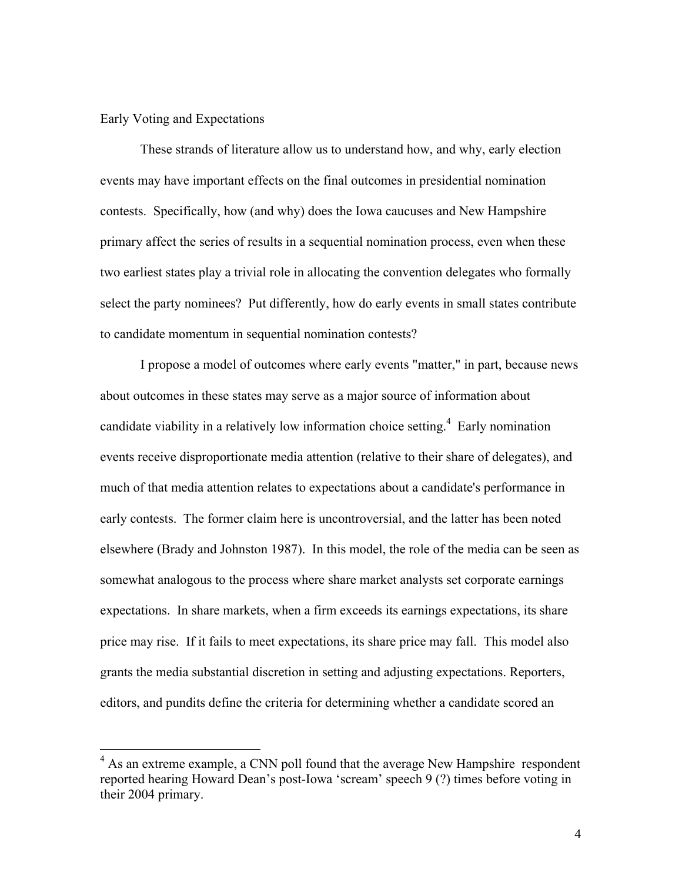#### Early Voting and Expectations

 $\overline{a}$ 

These strands of literature allow us to understand how, and why, early election events may have important effects on the final outcomes in presidential nomination contests. Specifically, how (and why) does the Iowa caucuses and New Hampshire primary affect the series of results in a sequential nomination process, even when these two earliest states play a trivial role in allocating the convention delegates who formally select the party nominees? Put differently, how do early events in small states contribute to candidate momentum in sequential nomination contests?

I propose a model of outcomes where early events "matter," in part, because news about outcomes in these states may serve as a major source of information about candidate viability in a relatively low information choice setting.<sup>4</sup> Early nomination events receive disproportionate media attention (relative to their share of delegates), and much of that media attention relates to expectations about a candidate's performance in early contests. The former claim here is uncontroversial, and the latter has been noted elsewhere (Brady and Johnston 1987). In this model, the role of the media can be seen as somewhat analogous to the process where share market analysts set corporate earnings expectations. In share markets, when a firm exceeds its earnings expectations, its share price may rise. If it fails to meet expectations, its share price may fall. This model also grants the media substantial discretion in setting and adjusting expectations. Reporters, editors, and pundits define the criteria for determining whether a candidate scored an

<sup>&</sup>lt;sup>4</sup> As an extreme example, a CNN poll found that the average New Hampshire respondent reported hearing Howard Dean's post-Iowa 'scream' speech 9 (?) times before voting in their 2004 primary.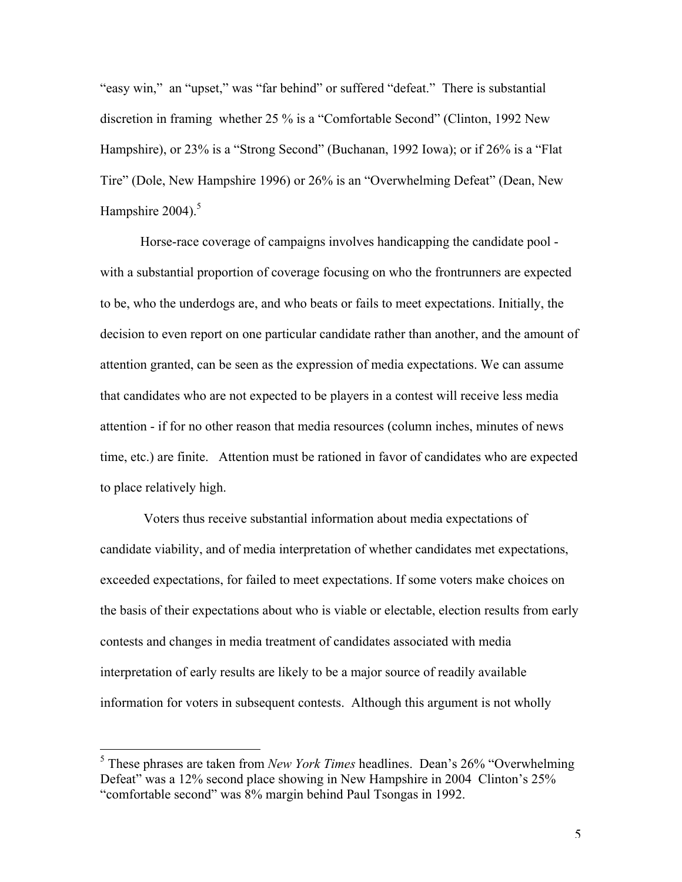"easy win," an "upset," was "far behind" or suffered "defeat." There is substantial discretion in framing whether 25 % is a "Comfortable Second" (Clinton, 1992 New Hampshire), or 23% is a "Strong Second" (Buchanan, 1992 Iowa); or if 26% is a "Flat Tire" (Dole, New Hampshire 1996) or 26% is an "Overwhelming Defeat" (Dean, New Hampshire  $2004$ ).<sup>5</sup>

Horse-race coverage of campaigns involves handicapping the candidate pool with a substantial proportion of coverage focusing on who the frontrunners are expected to be, who the underdogs are, and who beats or fails to meet expectations. Initially, the decision to even report on one particular candidate rather than another, and the amount of attention granted, can be seen as the expression of media expectations. We can assume that candidates who are not expected to be players in a contest will receive less media attention - if for no other reason that media resources (column inches, minutes of news time, etc.) are finite. Attention must be rationed in favor of candidates who are expected to place relatively high.

 Voters thus receive substantial information about media expectations of candidate viability, and of media interpretation of whether candidates met expectations, exceeded expectations, for failed to meet expectations. If some voters make choices on the basis of their expectations about who is viable or electable, election results from early contests and changes in media treatment of candidates associated with media interpretation of early results are likely to be a major source of readily available information for voters in subsequent contests. Although this argument is not wholly

 $\overline{a}$ 

<sup>5</sup> These phrases are taken from *New York Times* headlines. Dean's 26% "Overwhelming Defeat" was a 12% second place showing in New Hampshire in 2004 Clinton's 25% "comfortable second" was 8% margin behind Paul Tsongas in 1992.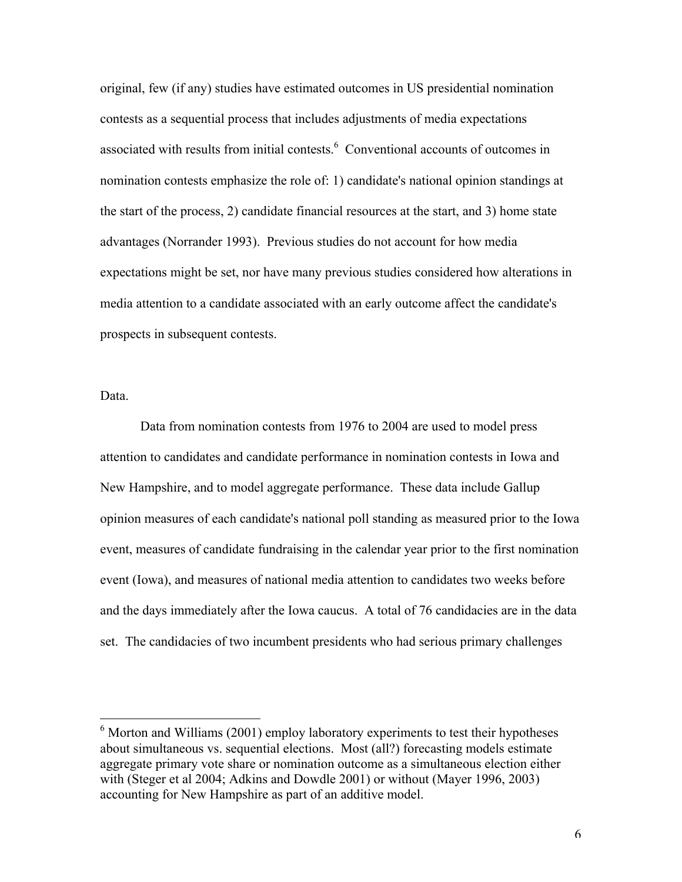original, few (if any) studies have estimated outcomes in US presidential nomination contests as a sequential process that includes adjustments of media expectations associated with results from initial contests.<sup>6</sup> Conventional accounts of outcomes in nomination contests emphasize the role of: 1) candidate's national opinion standings at the start of the process, 2) candidate financial resources at the start, and 3) home state advantages (Norrander 1993). Previous studies do not account for how media expectations might be set, nor have many previous studies considered how alterations in media attention to a candidate associated with an early outcome affect the candidate's prospects in subsequent contests.

Data.

 $\overline{a}$ 

Data from nomination contests from 1976 to 2004 are used to model press attention to candidates and candidate performance in nomination contests in Iowa and New Hampshire, and to model aggregate performance. These data include Gallup opinion measures of each candidate's national poll standing as measured prior to the Iowa event, measures of candidate fundraising in the calendar year prior to the first nomination event (Iowa), and measures of national media attention to candidates two weeks before and the days immediately after the Iowa caucus. A total of 76 candidacies are in the data set. The candidacies of two incumbent presidents who had serious primary challenges

<sup>&</sup>lt;sup>6</sup> Morton and Williams (2001) employ laboratory experiments to test their hypotheses about simultaneous vs. sequential elections. Most (all?) forecasting models estimate aggregate primary vote share or nomination outcome as a simultaneous election either with (Steger et al 2004; Adkins and Dowdle 2001) or without (Mayer 1996, 2003) accounting for New Hampshire as part of an additive model.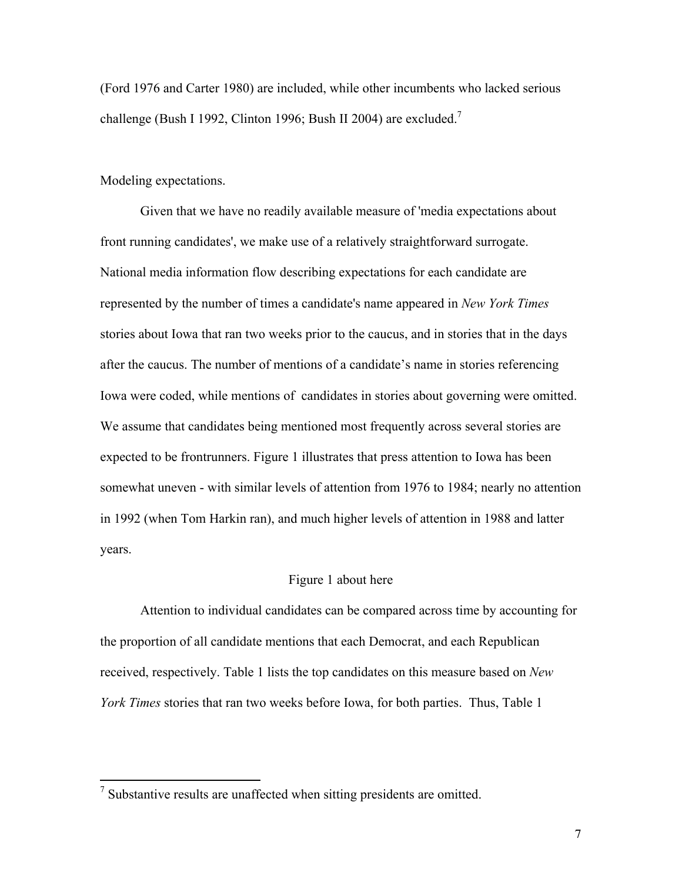(Ford 1976 and Carter 1980) are included, while other incumbents who lacked serious challenge (Bush I 1992, Clinton 1996; Bush II 2004) are excluded.

#### Modeling expectations.

Given that we have no readily available measure of 'media expectations about front running candidates', we make use of a relatively straightforward surrogate. National media information flow describing expectations for each candidate are represented by the number of times a candidate's name appeared in *New York Times* stories about Iowa that ran two weeks prior to the caucus, and in stories that in the days after the caucus. The number of mentions of a candidate's name in stories referencing Iowa were coded, while mentions of candidates in stories about governing were omitted. We assume that candidates being mentioned most frequently across several stories are expected to be frontrunners. Figure 1 illustrates that press attention to Iowa has been somewhat uneven - with similar levels of attention from 1976 to 1984; nearly no attention in 1992 (when Tom Harkin ran), and much higher levels of attention in 1988 and latter years.

### Figure 1 about here

Attention to individual candidates can be compared across time by accounting for the proportion of all candidate mentions that each Democrat, and each Republican received, respectively. Table 1 lists the top candidates on this measure based on *New York Times* stories that ran two weeks before Iowa, for both parties. Thus, Table 1

<sup>&</sup>lt;sup>7</sup> Substantive results are unaffected when sitting presidents are omitted.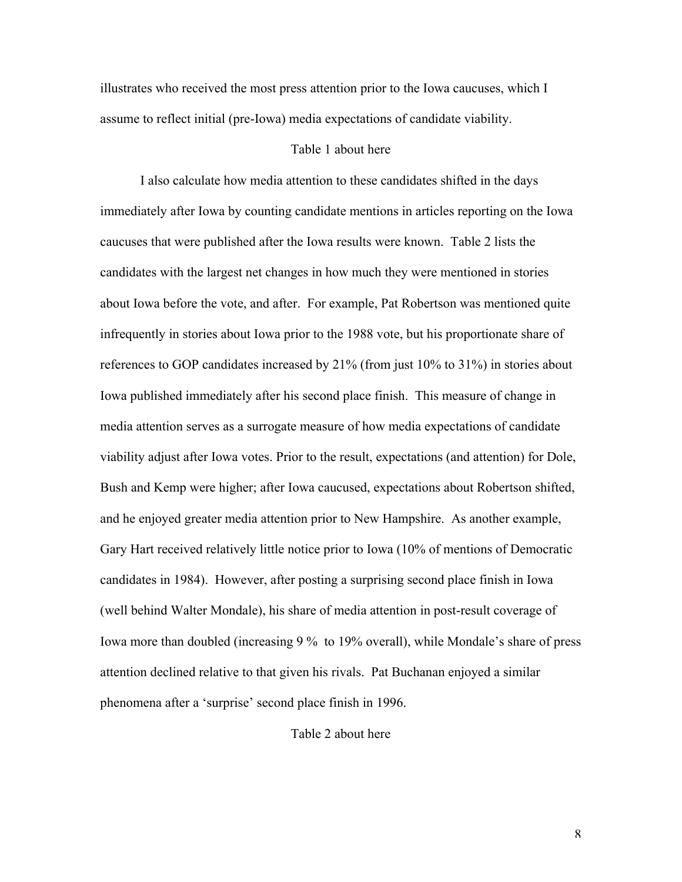illustrates who received the most press attention prior to the Iowa caucuses, which I assume to reflect initial (pre-Iowa) media expectations of candidate viability.

#### Table 1 about here

I also calculate how media attention to these candidates shifted in the days immediately after Iowa by counting candidate mentions in articles reporting on the Iowa caucuses that were published after the Iowa results were known. Table 2 lists the candidates with the largest net changes in how much they were mentioned in stories about Iowa before the vote, and after. For example, Pat Robertson was mentioned quite infrequently in stories about Iowa prior to the 1988 vote, but his proportionate share of references to GOP candidates increased by 21% (from just 10% to 31%) in stories about Iowa published immediately after his second place finish. This measure of change in media attention serves as a surrogate measure of how media expectations of candidate viability adjust after Iowa votes. Prior to the result, expectations (and attention) for Dole, Bush and Kemp were higher; after Iowa caucused, expectations about Robertson shifted, and he enjoyed greater media attention prior to New Hampshire. As another example, Gary Hart received relatively little notice prior to Iowa (10% of mentions of Democratic candidates in 1984). However, after posting a surprising second place finish in Iowa (well behind Walter Mondale), his share of media attention in post-result coverage of Iowa more than doubled (increasing 9 % to 19% overall), while Mondale's share of press attention declined relative to that given his rivals. Pat Buchanan enjoyed a similar phenomena after a 'surprise' second place finish in 1996.

## Table 2 about here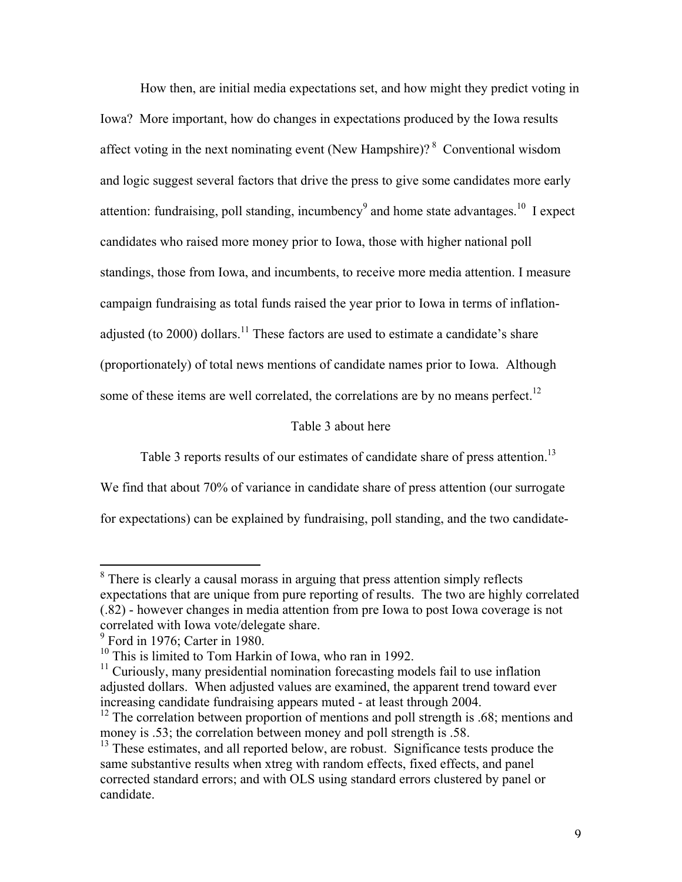How then, are initial media expectations set, and how might they predict voting in Iowa? More important, how do changes in expectations produced by the Iowa results affect voting in the next nominating event (New Hampshire)?  $8$  Conventional wisdom and logic suggest several factors that drive the press to give some candidates more early attention: fundraising, poll standing, incumbency<sup>9</sup> and home state advantages.<sup>10</sup> I expect candidates who raised more money prior to Iowa, those with higher national poll standings, those from Iowa, and incumbents, to receive more media attention. I measure campaign fundraising as total funds raised the year prior to Iowa in terms of inflationadjusted (to 2000) dollars.<sup>11</sup> These factors are used to estimate a candidate's share (proportionately) of total news mentions of candidate names prior to Iowa. Although some of these items are well correlated, the correlations are by no means perfect.<sup>12</sup>

### Table 3 about here

Table 3 reports results of our estimates of candidate share of press attention.<sup>13</sup>

We find that about 70% of variance in candidate share of press attention (our surrogate

for expectations) can be explained by fundraising, poll standing, and the two candidate-

<sup>&</sup>lt;sup>8</sup> There is clearly a causal morass in arguing that press attention simply reflects expectations that are unique from pure reporting of results. The two are highly correlated (.82) - however changes in media attention from pre Iowa to post Iowa coverage is not correlated with Iowa vote/delegate share.

 $9^9$  Ford in 1976; Carter in 1980.

<sup>&</sup>lt;sup>10</sup> This is limited to Tom Harkin of Iowa, who ran in 1992.

<sup>&</sup>lt;sup>11</sup> Curiously, many presidential nomination forecasting models fail to use inflation adjusted dollars. When adjusted values are examined, the apparent trend toward ever increasing candidate fundraising appears muted - at least through 2004.

 $12$  The correlation between proportion of mentions and poll strength is .68; mentions and money is .53; the correlation between money and poll strength is .58.

<sup>&</sup>lt;sup>13</sup> These estimates, and all reported below, are robust. Significance tests produce the same substantive results when xtreg with random effects, fixed effects, and panel corrected standard errors; and with OLS using standard errors clustered by panel or candidate.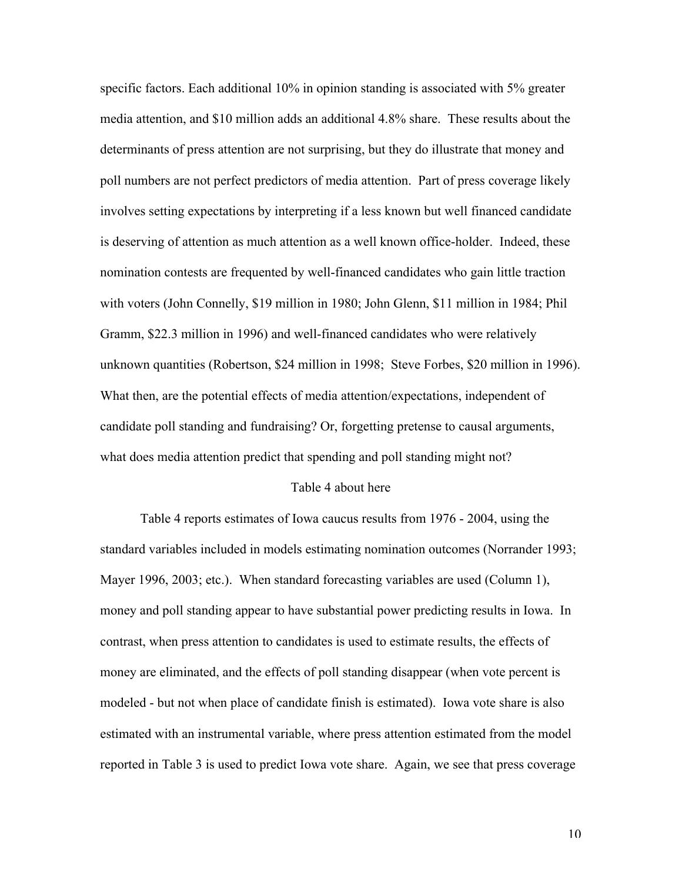specific factors. Each additional 10% in opinion standing is associated with 5% greater media attention, and \$10 million adds an additional 4.8% share. These results about the determinants of press attention are not surprising, but they do illustrate that money and poll numbers are not perfect predictors of media attention. Part of press coverage likely involves setting expectations by interpreting if a less known but well financed candidate is deserving of attention as much attention as a well known office-holder. Indeed, these nomination contests are frequented by well-financed candidates who gain little traction with voters (John Connelly, \$19 million in 1980; John Glenn, \$11 million in 1984; Phil Gramm, \$22.3 million in 1996) and well-financed candidates who were relatively unknown quantities (Robertson, \$24 million in 1998; Steve Forbes, \$20 million in 1996). What then, are the potential effects of media attention/expectations, independent of candidate poll standing and fundraising? Or, forgetting pretense to causal arguments, what does media attention predict that spending and poll standing might not?

#### Table 4 about here

Table 4 reports estimates of Iowa caucus results from 1976 - 2004, using the standard variables included in models estimating nomination outcomes (Norrander 1993; Mayer 1996, 2003; etc.). When standard forecasting variables are used (Column 1), money and poll standing appear to have substantial power predicting results in Iowa. In contrast, when press attention to candidates is used to estimate results, the effects of money are eliminated, and the effects of poll standing disappear (when vote percent is modeled - but not when place of candidate finish is estimated). Iowa vote share is also estimated with an instrumental variable, where press attention estimated from the model reported in Table 3 is used to predict Iowa vote share. Again, we see that press coverage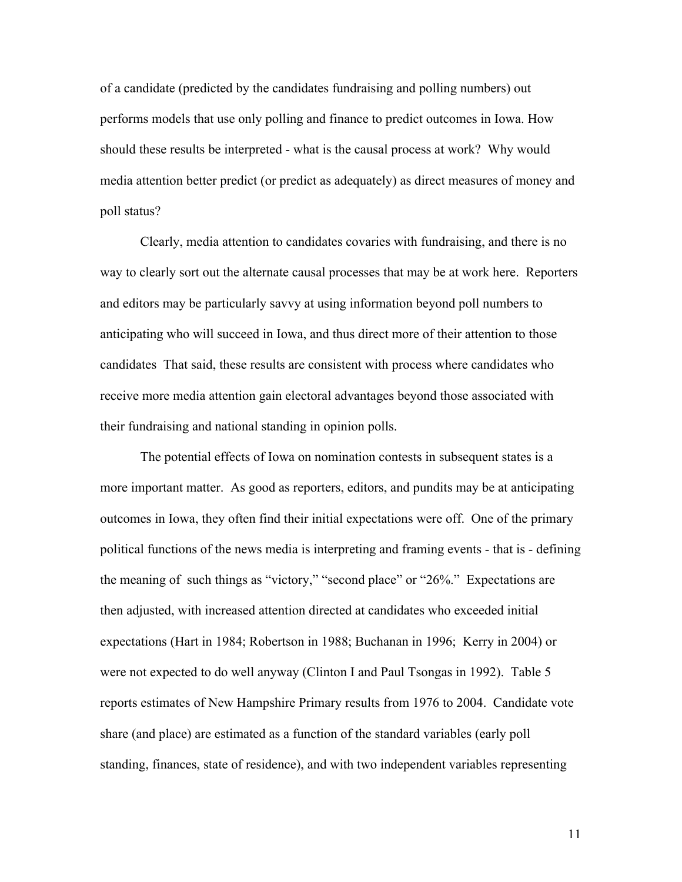of a candidate (predicted by the candidates fundraising and polling numbers) out performs models that use only polling and finance to predict outcomes in Iowa. How should these results be interpreted - what is the causal process at work? Why would media attention better predict (or predict as adequately) as direct measures of money and poll status?

Clearly, media attention to candidates covaries with fundraising, and there is no way to clearly sort out the alternate causal processes that may be at work here. Reporters and editors may be particularly savvy at using information beyond poll numbers to anticipating who will succeed in Iowa, and thus direct more of their attention to those candidates That said, these results are consistent with process where candidates who receive more media attention gain electoral advantages beyond those associated with their fundraising and national standing in opinion polls.

The potential effects of Iowa on nomination contests in subsequent states is a more important matter. As good as reporters, editors, and pundits may be at anticipating outcomes in Iowa, they often find their initial expectations were off. One of the primary political functions of the news media is interpreting and framing events - that is - defining the meaning of such things as "victory," "second place" or "26%." Expectations are then adjusted, with increased attention directed at candidates who exceeded initial expectations (Hart in 1984; Robertson in 1988; Buchanan in 1996; Kerry in 2004) or were not expected to do well anyway (Clinton I and Paul Tsongas in 1992). Table 5 reports estimates of New Hampshire Primary results from 1976 to 2004. Candidate vote share (and place) are estimated as a function of the standard variables (early poll standing, finances, state of residence), and with two independent variables representing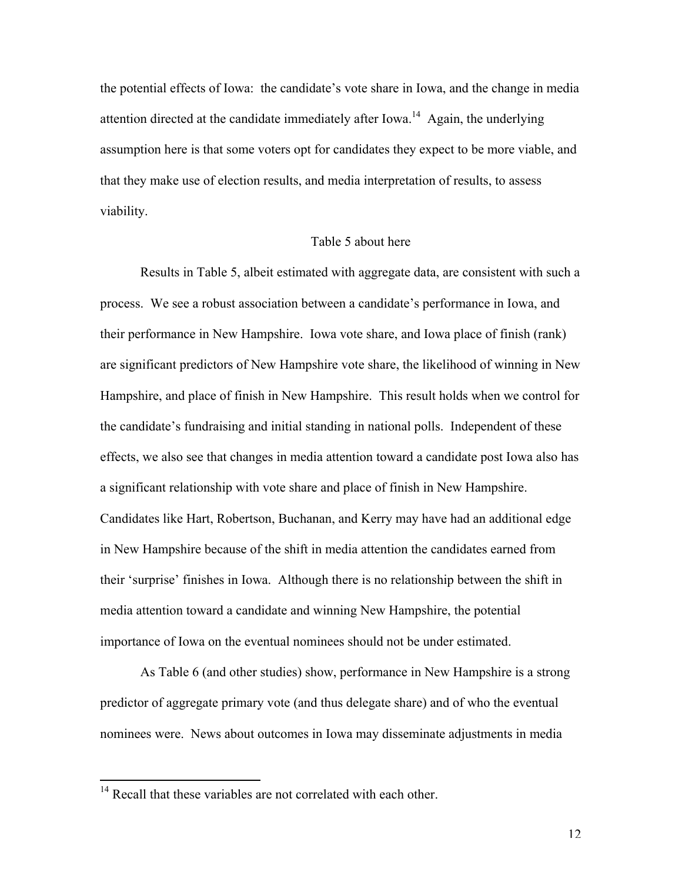the potential effects of Iowa: the candidate's vote share in Iowa, and the change in media attention directed at the candidate immediately after Iowa.<sup>14</sup> Again, the underlying assumption here is that some voters opt for candidates they expect to be more viable, and that they make use of election results, and media interpretation of results, to assess viability.

#### Table 5 about here

Results in Table 5, albeit estimated with aggregate data, are consistent with such a process. We see a robust association between a candidate's performance in Iowa, and their performance in New Hampshire. Iowa vote share, and Iowa place of finish (rank) are significant predictors of New Hampshire vote share, the likelihood of winning in New Hampshire, and place of finish in New Hampshire. This result holds when we control for the candidate's fundraising and initial standing in national polls. Independent of these effects, we also see that changes in media attention toward a candidate post Iowa also has a significant relationship with vote share and place of finish in New Hampshire. Candidates like Hart, Robertson, Buchanan, and Kerry may have had an additional edge in New Hampshire because of the shift in media attention the candidates earned from their 'surprise' finishes in Iowa. Although there is no relationship between the shift in media attention toward a candidate and winning New Hampshire, the potential importance of Iowa on the eventual nominees should not be under estimated.

As Table 6 (and other studies) show, performance in New Hampshire is a strong predictor of aggregate primary vote (and thus delegate share) and of who the eventual nominees were. News about outcomes in Iowa may disseminate adjustments in media

<sup>&</sup>lt;sup>14</sup> Recall that these variables are not correlated with each other.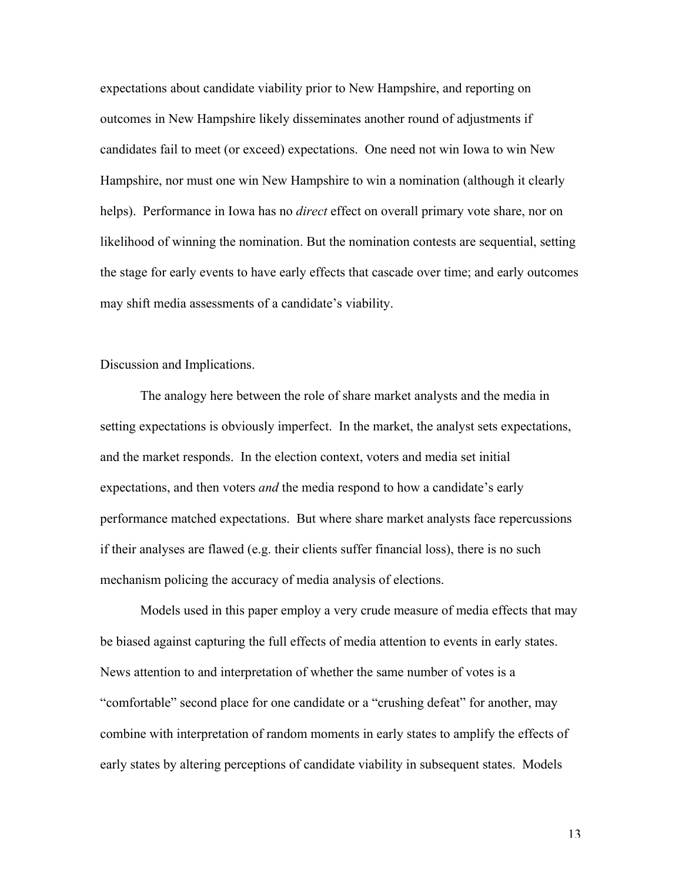expectations about candidate viability prior to New Hampshire, and reporting on outcomes in New Hampshire likely disseminates another round of adjustments if candidates fail to meet (or exceed) expectations. One need not win Iowa to win New Hampshire, nor must one win New Hampshire to win a nomination (although it clearly helps). Performance in Iowa has no *direct* effect on overall primary vote share, nor on likelihood of winning the nomination. But the nomination contests are sequential, setting the stage for early events to have early effects that cascade over time; and early outcomes may shift media assessments of a candidate's viability.

Discussion and Implications.

The analogy here between the role of share market analysts and the media in setting expectations is obviously imperfect. In the market, the analyst sets expectations, and the market responds. In the election context, voters and media set initial expectations, and then voters *and* the media respond to how a candidate's early performance matched expectations. But where share market analysts face repercussions if their analyses are flawed (e.g. their clients suffer financial loss), there is no such mechanism policing the accuracy of media analysis of elections.

Models used in this paper employ a very crude measure of media effects that may be biased against capturing the full effects of media attention to events in early states. News attention to and interpretation of whether the same number of votes is a "comfortable" second place for one candidate or a "crushing defeat" for another, may combine with interpretation of random moments in early states to amplify the effects of early states by altering perceptions of candidate viability in subsequent states. Models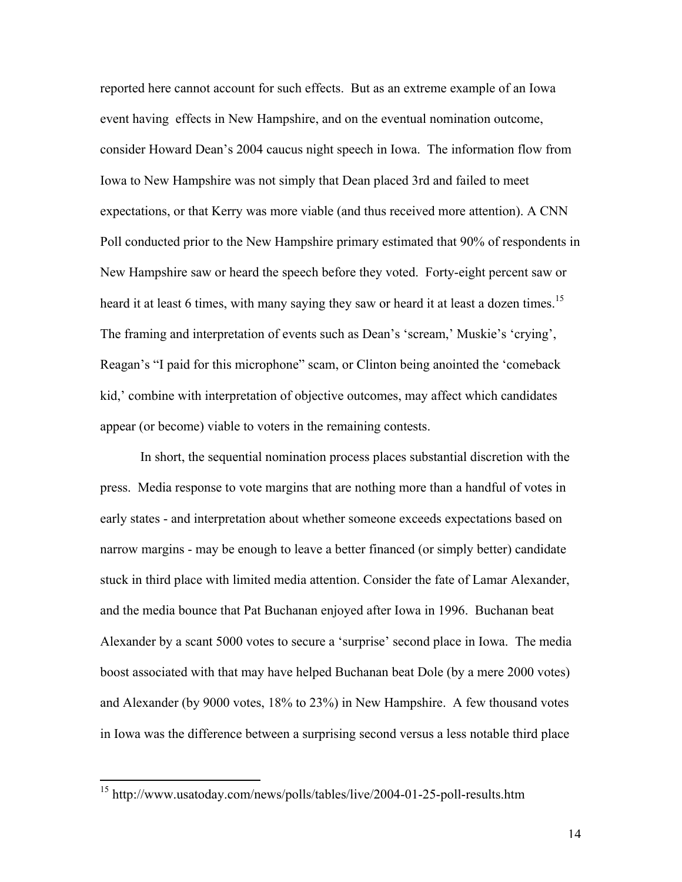reported here cannot account for such effects. But as an extreme example of an Iowa event having effects in New Hampshire, and on the eventual nomination outcome, consider Howard Dean's 2004 caucus night speech in Iowa. The information flow from Iowa to New Hampshire was not simply that Dean placed 3rd and failed to meet expectations, or that Kerry was more viable (and thus received more attention). A CNN Poll conducted prior to the New Hampshire primary estimated that 90% of respondents in New Hampshire saw or heard the speech before they voted. Forty-eight percent saw or heard it at least 6 times, with many saying they saw or heard it at least a dozen times.<sup>15</sup> The framing and interpretation of events such as Dean's 'scream,' Muskie's 'crying', Reagan's "I paid for this microphone" scam, or Clinton being anointed the 'comeback kid,' combine with interpretation of objective outcomes, may affect which candidates appear (or become) viable to voters in the remaining contests.

In short, the sequential nomination process places substantial discretion with the press. Media response to vote margins that are nothing more than a handful of votes in early states - and interpretation about whether someone exceeds expectations based on narrow margins - may be enough to leave a better financed (or simply better) candidate stuck in third place with limited media attention. Consider the fate of Lamar Alexander, and the media bounce that Pat Buchanan enjoyed after Iowa in 1996. Buchanan beat Alexander by a scant 5000 votes to secure a 'surprise' second place in Iowa. The media boost associated with that may have helped Buchanan beat Dole (by a mere 2000 votes) and Alexander (by 9000 votes, 18% to 23%) in New Hampshire. A few thousand votes in Iowa was the difference between a surprising second versus a less notable third place

 15 http://www.usatoday.com/news/polls/tables/live/2004-01-25-poll-results.htm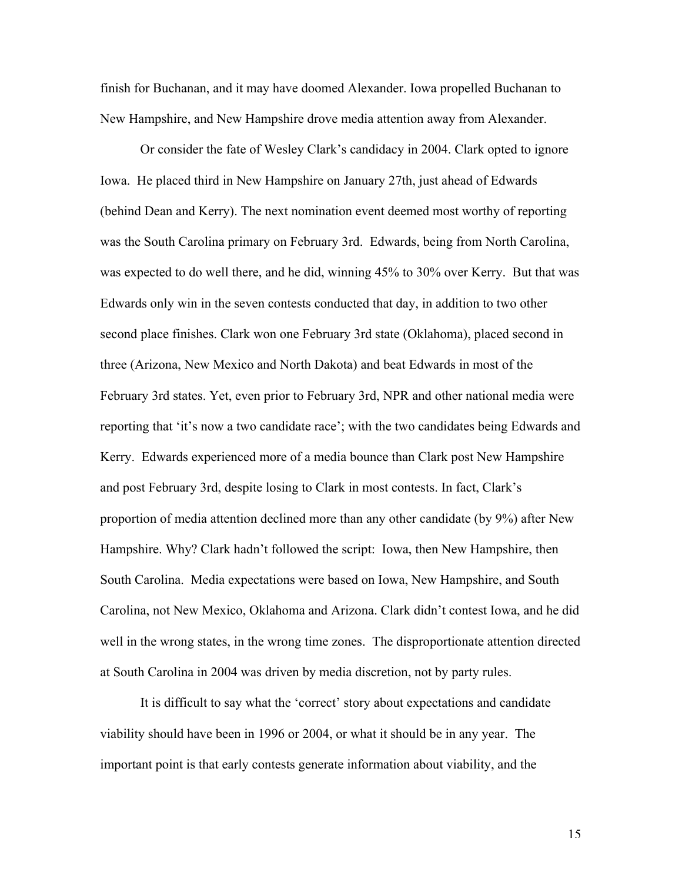finish for Buchanan, and it may have doomed Alexander. Iowa propelled Buchanan to New Hampshire, and New Hampshire drove media attention away from Alexander.

Or consider the fate of Wesley Clark's candidacy in 2004. Clark opted to ignore Iowa. He placed third in New Hampshire on January 27th, just ahead of Edwards (behind Dean and Kerry). The next nomination event deemed most worthy of reporting was the South Carolina primary on February 3rd. Edwards, being from North Carolina, was expected to do well there, and he did, winning 45% to 30% over Kerry. But that was Edwards only win in the seven contests conducted that day, in addition to two other second place finishes. Clark won one February 3rd state (Oklahoma), placed second in three (Arizona, New Mexico and North Dakota) and beat Edwards in most of the February 3rd states. Yet, even prior to February 3rd, NPR and other national media were reporting that 'it's now a two candidate race'; with the two candidates being Edwards and Kerry. Edwards experienced more of a media bounce than Clark post New Hampshire and post February 3rd, despite losing to Clark in most contests. In fact, Clark's proportion of media attention declined more than any other candidate (by 9%) after New Hampshire. Why? Clark hadn't followed the script: Iowa, then New Hampshire, then South Carolina. Media expectations were based on Iowa, New Hampshire, and South Carolina, not New Mexico, Oklahoma and Arizona. Clark didn't contest Iowa, and he did well in the wrong states, in the wrong time zones. The disproportionate attention directed at South Carolina in 2004 was driven by media discretion, not by party rules.

It is difficult to say what the 'correct' story about expectations and candidate viability should have been in 1996 or 2004, or what it should be in any year. The important point is that early contests generate information about viability, and the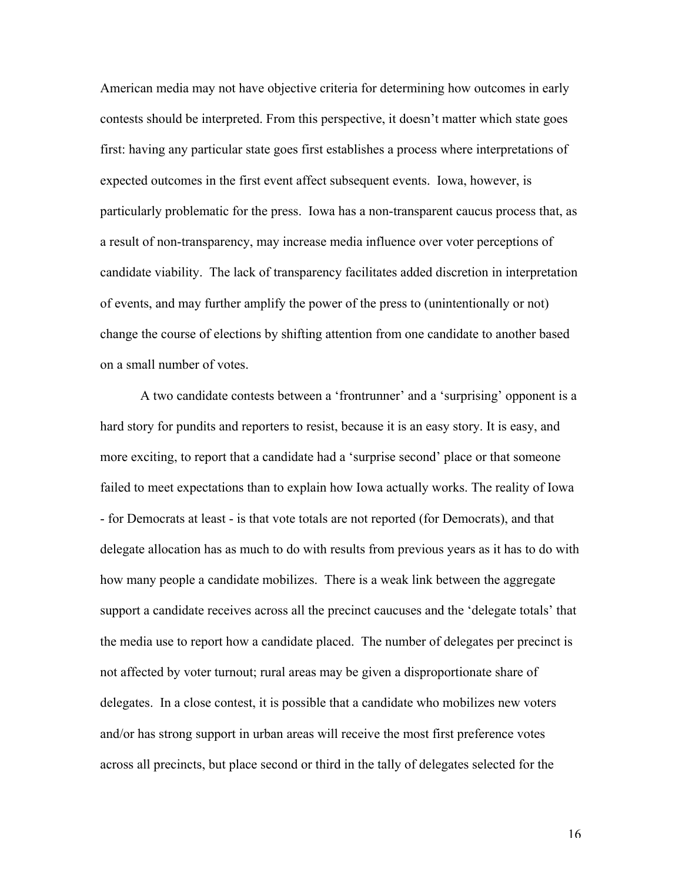American media may not have objective criteria for determining how outcomes in early contests should be interpreted. From this perspective, it doesn't matter which state goes first: having any particular state goes first establishes a process where interpretations of expected outcomes in the first event affect subsequent events. Iowa, however, is particularly problematic for the press. Iowa has a non-transparent caucus process that, as a result of non-transparency, may increase media influence over voter perceptions of candidate viability. The lack of transparency facilitates added discretion in interpretation of events, and may further amplify the power of the press to (unintentionally or not) change the course of elections by shifting attention from one candidate to another based on a small number of votes.

A two candidate contests between a 'frontrunner' and a 'surprising' opponent is a hard story for pundits and reporters to resist, because it is an easy story. It is easy, and more exciting, to report that a candidate had a 'surprise second' place or that someone failed to meet expectations than to explain how Iowa actually works. The reality of Iowa - for Democrats at least - is that vote totals are not reported (for Democrats), and that delegate allocation has as much to do with results from previous years as it has to do with how many people a candidate mobilizes. There is a weak link between the aggregate support a candidate receives across all the precinct caucuses and the 'delegate totals' that the media use to report how a candidate placed. The number of delegates per precinct is not affected by voter turnout; rural areas may be given a disproportionate share of delegates. In a close contest, it is possible that a candidate who mobilizes new voters and/or has strong support in urban areas will receive the most first preference votes across all precincts, but place second or third in the tally of delegates selected for the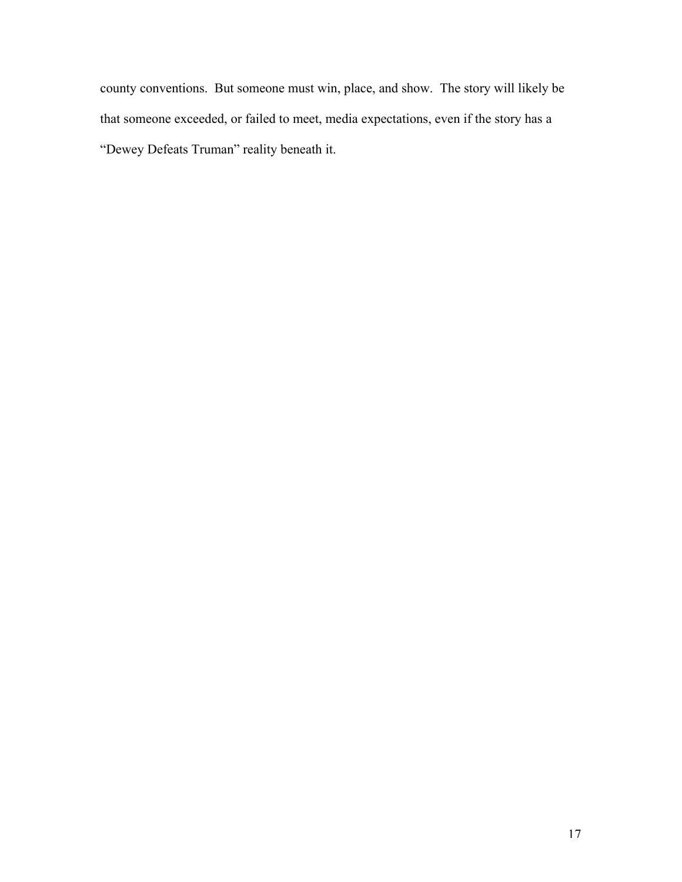county conventions. But someone must win, place, and show. The story will likely be that someone exceeded, or failed to meet, media expectations, even if the story has a "Dewey Defeats Truman" reality beneath it.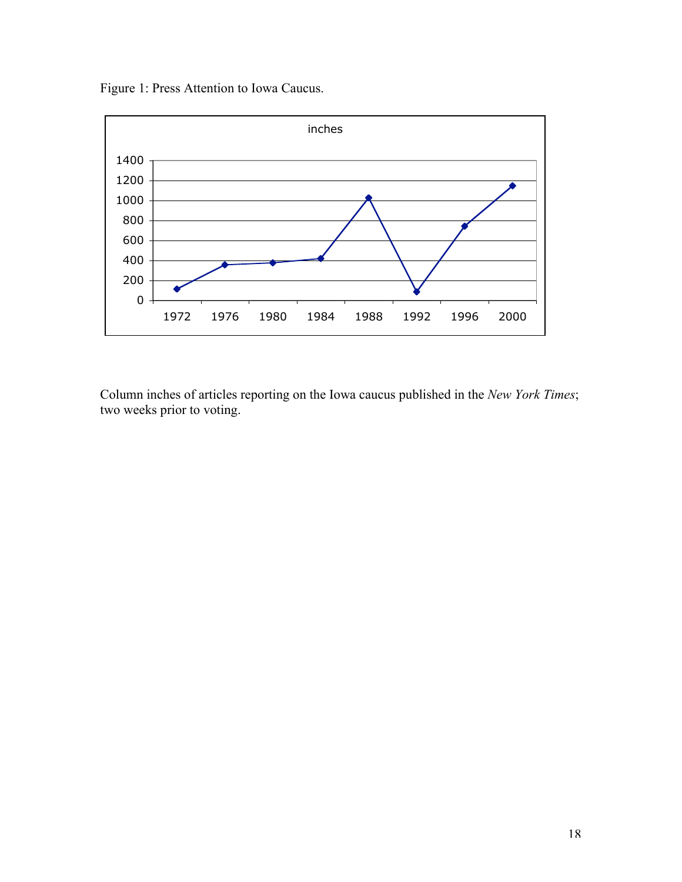Figure 1: Press Attention to Iowa Caucus.



Column inches of articles reporting on the Iowa caucus published in the *New York Times*; two weeks prior to voting.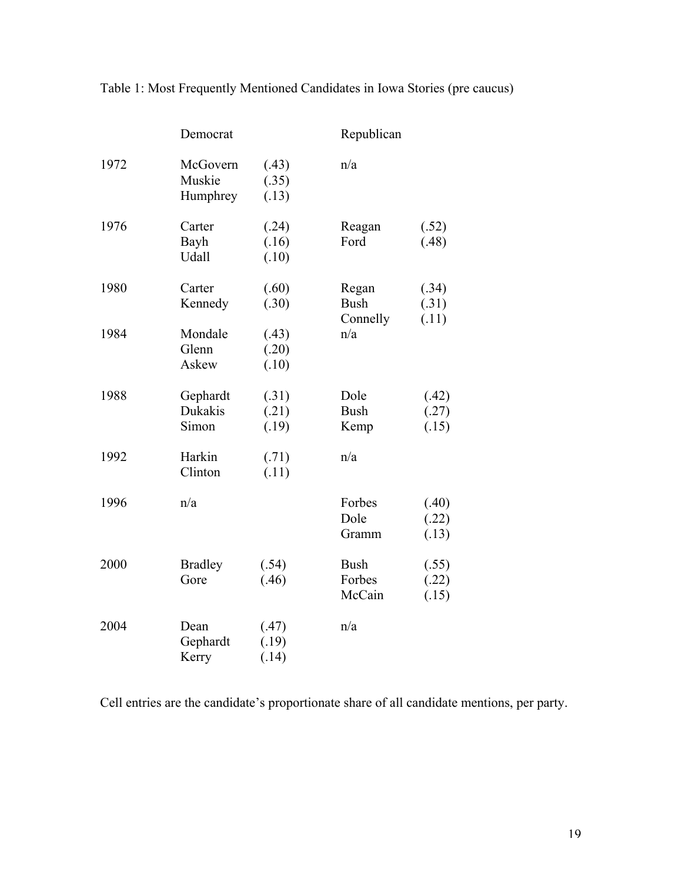|      | Democrat                       |                         | Republican                       |                         |
|------|--------------------------------|-------------------------|----------------------------------|-------------------------|
| 1972 | McGovern<br>Muskie<br>Humphrey | (.43)<br>(.35)<br>(.13) | n/a                              |                         |
| 1976 | Carter<br>Bayh<br><b>Udall</b> | (.24)<br>(.16)<br>(.10) | Reagan<br>Ford                   | (.52)<br>(.48)          |
| 1980 | Carter<br>Kennedy              | (.60)<br>(.30)          | Regan<br><b>Bush</b><br>Connelly | (.34)<br>(.31)<br>(.11) |
| 1984 | Mondale<br>Glenn<br>Askew      | (.43)<br>(.20)<br>(.10) | n/a                              |                         |
| 1988 | Gephardt<br>Dukakis<br>Simon   | (.31)<br>(.21)<br>(.19) | Dole<br><b>Bush</b><br>Kemp      | (.42)<br>(.27)<br>(.15) |
| 1992 | Harkin<br>Clinton              | (.71)<br>(.11)          | n/a                              |                         |
| 1996 | n/a                            |                         | Forbes<br>Dole<br>Gramm          | (.40)<br>(.22)<br>(.13) |
| 2000 | <b>Bradley</b><br>Gore         | (.54)<br>(.46)          | <b>Bush</b><br>Forbes<br>McCain  | (.55)<br>(.22)<br>(.15) |
| 2004 | Dean<br>Gephardt<br>Kerry      | (.47)<br>(.19)<br>(.14) | n/a                              |                         |

Table 1: Most Frequently Mentioned Candidates in Iowa Stories (pre caucus)

Cell entries are the candidate's proportionate share of all candidate mentions, per party.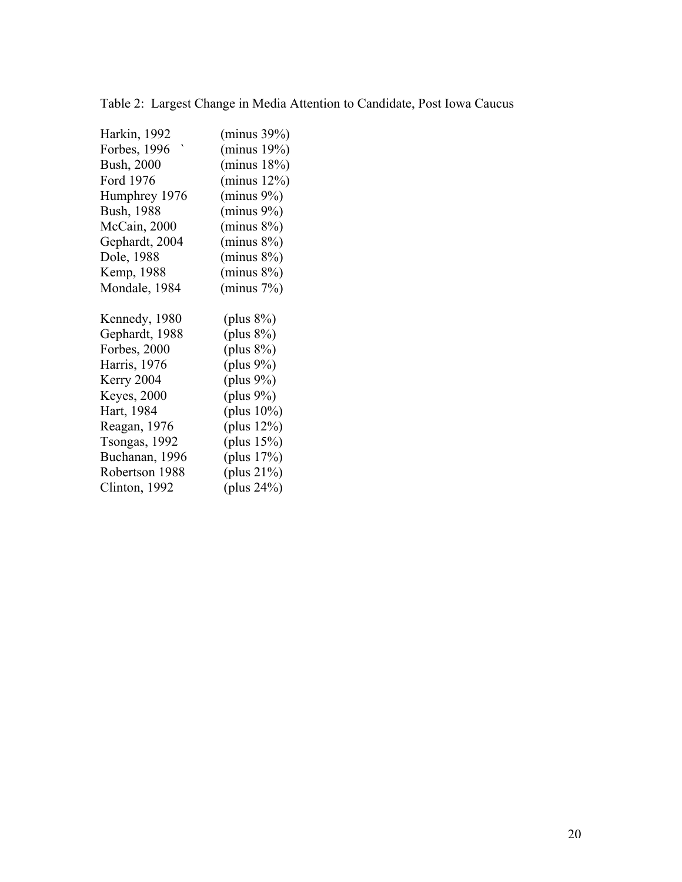| Harkin, 1992        | (minus 39%)    |
|---------------------|----------------|
| Forbes, 1996        | (minus 19%)    |
| <b>Bush, 2000</b>   | (minus 18%)    |
| Ford 1976           | (minus 12%)    |
| Humphrey 1976       | $(minus 9\%)$  |
| <b>Bush, 1988</b>   | $(minus 9\%)$  |
| McCain, 2000        | $(minus 8\%)$  |
| Gephardt, 2004      | $(minus 8\%)$  |
| Dole, 1988          | $(minus 8\%)$  |
| Kemp, 1988          | $(minus 8\%)$  |
| Mondale, 1984       | (minus 7%)     |
|                     |                |
| Kennedy, 1980       | (plus $8\%$ )  |
| Gephardt, 1988      | (plus $8\%$ )  |
| Forbes, 2000        | (plus $8\%$ )  |
| Harris, 1976        | (plus $9\%$ )  |
| Kerry 2004          | (plus $9\%$ )  |
| <b>Keyes</b> , 2000 | (plus $9\%$ )  |
| Hart, 1984          | (plus $10\%$ ) |
| Reagan, 1976        | (plus $12\%$ ) |
| Tsongas, 1992       | (plus $15\%$ ) |
| Buchanan, 1996      | (plus $17%$ )  |
| Robertson 1988      | (plus $21\%$ ) |
| Clinton, 1992       | (plus $24\%$ ) |
|                     |                |

|  |  |  |  |  | Table 2: Largest Change in Media Attention to Candidate, Post Iowa Caucus |  |  |
|--|--|--|--|--|---------------------------------------------------------------------------|--|--|
|--|--|--|--|--|---------------------------------------------------------------------------|--|--|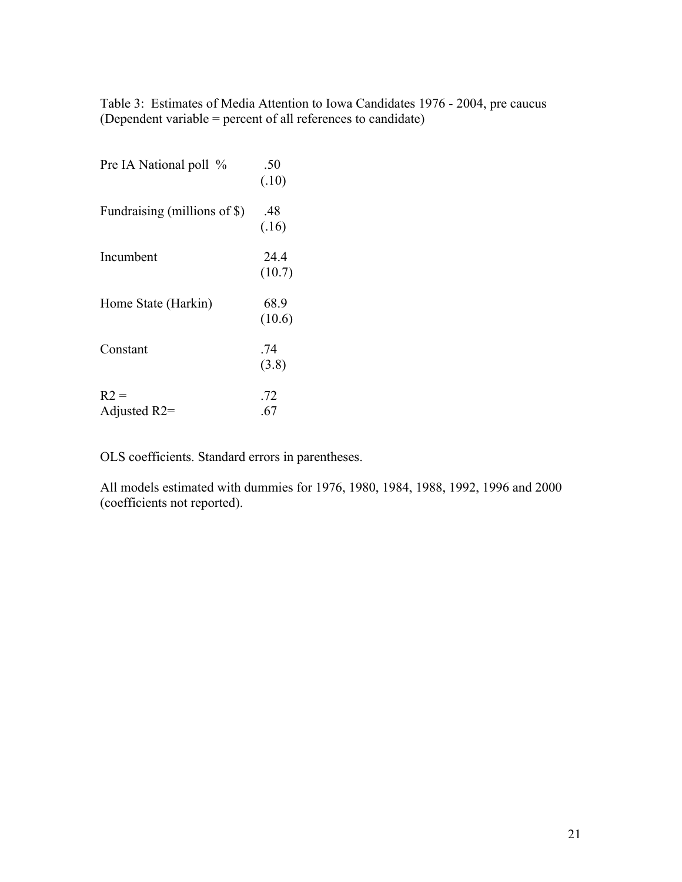Table 3: Estimates of Media Attention to Iowa Candidates 1976 - 2004, pre caucus (Dependent variable = percent of all references to candidate)

| Pre IA National poll %       | .50<br>(.10)   |
|------------------------------|----------------|
| Fundraising (millions of \$) | .48<br>(.16)   |
| Incumbent                    | 24.4<br>(10.7) |
| Home State (Harkin)          | 68.9<br>(10.6) |
| Constant                     | .74<br>(3.8)   |
| $R2 =$<br>Adjusted R2=       | .72<br>.67     |

OLS coefficients. Standard errors in parentheses.

All models estimated with dummies for 1976, 1980, 1984, 1988, 1992, 1996 and 2000 (coefficients not reported).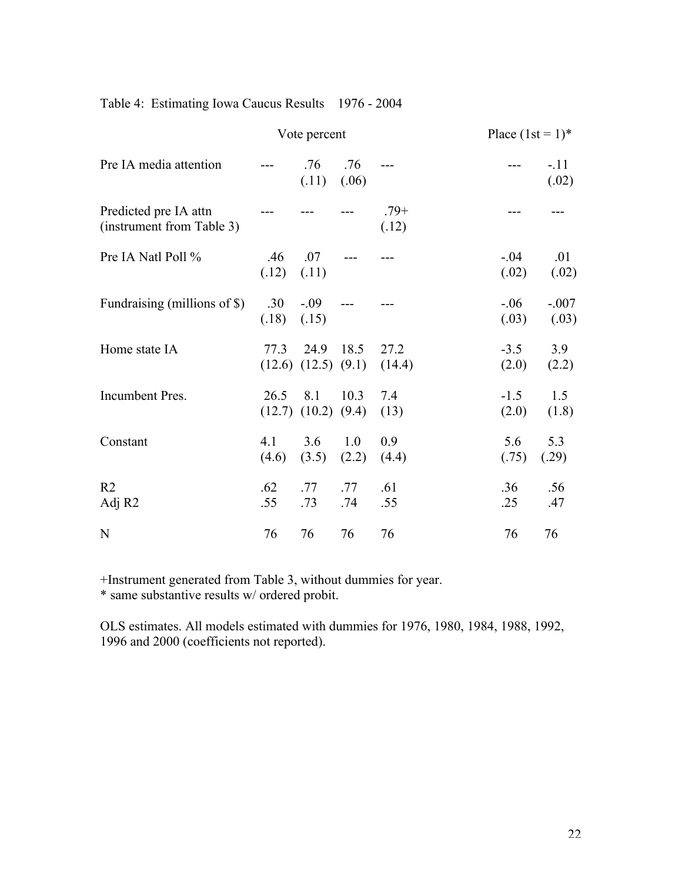|  |  |  |  |  | Table 4: Estimating Iowa Caucus Results 1976 - 2004 |
|--|--|--|--|--|-----------------------------------------------------|
|--|--|--|--|--|-----------------------------------------------------|

|                                                    |              | Vote percent                      |              |                 | Place $(1st = 1)^*$ |                  |
|----------------------------------------------------|--------------|-----------------------------------|--------------|-----------------|---------------------|------------------|
| Pre IA media attention                             |              | .76<br>(.11)                      | .76<br>(.06) |                 |                     | $-.11$<br>(.02)  |
| Predicted pre IA attn<br>(instrument from Table 3) |              |                                   |              | $.79+$<br>(.12) |                     |                  |
| Pre IA Natl Poll %                                 | .46<br>(.12) | .07<br>(.11)                      |              |                 | $-0.04$<br>(.02)    | .01<br>(.02)     |
| Fundraising (millions of \$)                       | .30<br>(.18) | $-.09$<br>(.15)                   |              |                 | $-.06$<br>(.03)     | $-.007$<br>(.03) |
| Home state IA                                      | 77.3         | 24.9<br>$(12.6)$ $(12.5)$ $(9.1)$ | 18.5         | 27.2<br>(14.4)  | $-3.5$<br>(2.0)     | 3.9<br>(2.2)     |
| Incumbent Pres.                                    | 26.5         | 8.1<br>$(12.7)$ $(10.2)$ $(9.4)$  | 10.3         | 7.4<br>(13)     | $-1.5$<br>(2.0)     | 1.5<br>(1.8)     |
| Constant                                           | 4.1<br>(4.6) | 3.6<br>(3.5)                      | 1.0<br>(2.2) | 0.9<br>(4.4)    | 5.6<br>(.75)        | 5.3<br>(.29)     |
| R <sub>2</sub><br>Adj R2                           | .62<br>.55   | .77<br>.73                        | .77<br>.74   | .61<br>.55      | .36<br>.25          | .56<br>.47       |
| N                                                  | 76           | 76                                | 76           | 76              | 76                  | 76               |

+Instrument generated from Table 3, without dummies for year.

\* same substantive results w/ ordered probit.

OLS estimates. All models estimated with dummies for 1976, 1980, 1984, 1988, 1992, 1996 and 2000 (coefficients not reported).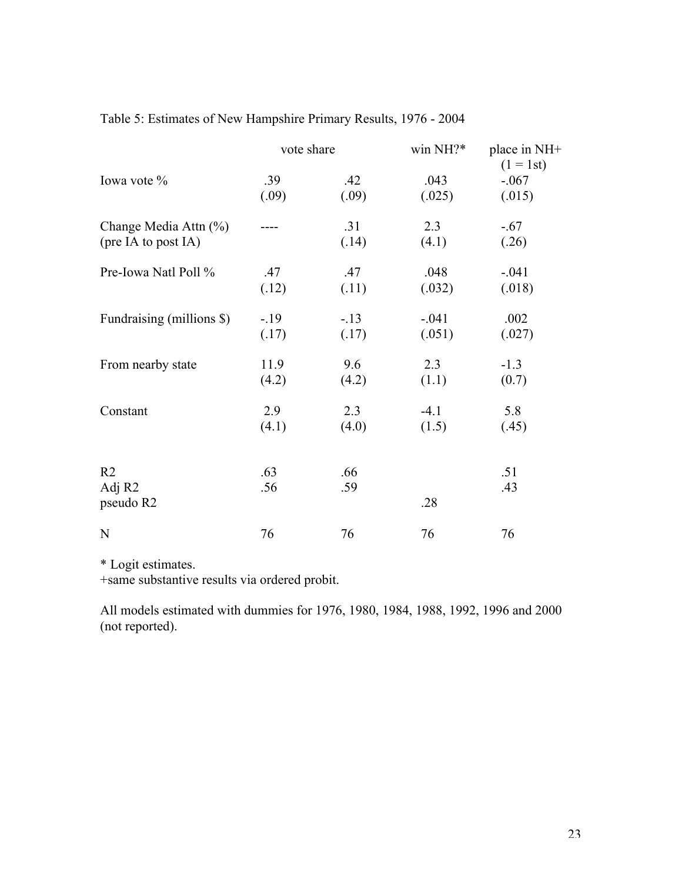| Table 5: Estimates of New Hampshire Primary Results, 1976 - 2004 |  |  |  |
|------------------------------------------------------------------|--|--|--|
|------------------------------------------------------------------|--|--|--|

|                           | vote share |        | win NH?* | place in NH+<br>$(1 = 1st)$ |
|---------------------------|------------|--------|----------|-----------------------------|
| Iowa vote %               | .39        | .42    | .043     | $-.067$                     |
|                           | (.09)      | (.09)  | (.025)   | (.015)                      |
| Change Media Attn (%)     |            | .31    | 2.3      | $-.67$                      |
| (pre IA to post IA)       |            | (.14)  | (4.1)    | (.26)                       |
| Pre-Iowa Natl Poll %      | .47        | .47    | .048     | $-.041$                     |
|                           | (.12)      | (.11)  | (.032)   | (.018)                      |
| Fundraising (millions \$) | $-19$      | $-.13$ | $-.041$  | .002                        |
|                           | (.17)      | (.17)  | (.051)   | (.027)                      |
| From nearby state         | 11.9       | 9.6    | 2.3      | $-1.3$                      |
|                           | (4.2)      | (4.2)  | (1.1)    | (0.7)                       |
| Constant                  | 2.9        | 2.3    | $-4.1$   | 5.8                         |
|                           | (4.1)      | (4.0)  | (1.5)    | (.45)                       |
|                           |            |        |          |                             |
| R <sub>2</sub>            | .63        | .66    |          | .51                         |
| Adj R <sub>2</sub>        | .56        | .59    |          | .43                         |
| pseudo R2                 |            |        | .28      |                             |
| N                         | 76         | 76     | 76       | 76                          |

\* Logit estimates.

+same substantive results via ordered probit.

All models estimated with dummies for 1976, 1980, 1984, 1988, 1992, 1996 and 2000 (not reported).